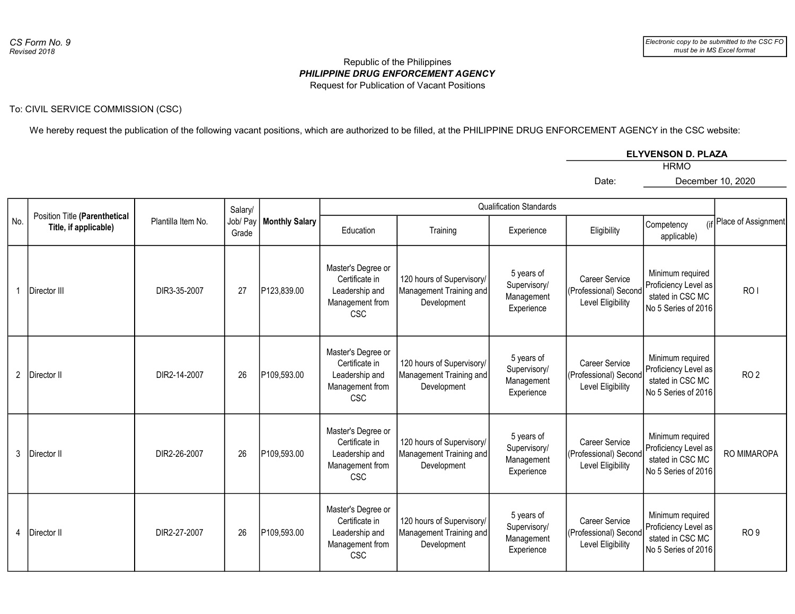## PHILIPPINE DRUG ENFORCEMENT AGENCY Republic of the Philippines Request for Publication of Vacant Positions

## To: CIVIL SERVICE COMMISSION (CSC)

We hereby request the publication of the following vacant positions, which are authorized to be filled, at the PHILIPPINE DRUG ENFORCEMENT AGENCY in the CSC website:

|--|

Date:

HRMO

December 10, 2020

|                | Position Title (Parenthetical<br>Title, if applicable) | Plantilla Item No. | Salary/<br>Job/ Pay<br>Grade | <b>Monthly Salary</b> |                                                                                         |                                                                     |                                                        |                                                                     |                                                                                     |                         |
|----------------|--------------------------------------------------------|--------------------|------------------------------|-----------------------|-----------------------------------------------------------------------------------------|---------------------------------------------------------------------|--------------------------------------------------------|---------------------------------------------------------------------|-------------------------------------------------------------------------------------|-------------------------|
| No.            |                                                        |                    |                              |                       | Education                                                                               | Training                                                            | Experience                                             | Eligibility                                                         | Competency<br>applicable)                                                           | (if Place of Assignment |
|                | Director III                                           | DIR3-35-2007       | 27                           | P123,839.00           | Master's Degree or<br>Certificate in<br>Leadership and<br>Management from<br><b>CSC</b> | 120 hours of Supervisory/<br>Management Training and<br>Development | 5 years of<br>Supervisory/<br>Management<br>Experience | Career Service<br>(Professional) Second<br>Level Eligibility        | Minimum required<br>Proficiency Level as<br>stated in CSC MC<br>No 5 Series of 2016 | RO <sub>I</sub>         |
| $\overline{2}$ | Director II                                            | DIR2-14-2007       | 26                           | P109,593.00           | Master's Degree or<br>Certificate in<br>Leadership and<br>Management from<br><b>CSC</b> | 120 hours of Supervisory/<br>Management Training and<br>Development | 5 years of<br>Supervisory/<br>Management<br>Experience | <b>Career Service</b><br>(Professional) Second<br>Level Eligibility | Minimum required<br>Proficiency Level as<br>stated in CSC MC<br>No 5 Series of 2016 | RO <sub>2</sub>         |
| 3              | Director II                                            | DIR2-26-2007       | 26                           | P109,593.00           | Master's Degree or<br>Certificate in<br>Leadership and<br>Management from<br><b>CSC</b> | 120 hours of Supervisory/<br>Management Training and<br>Development | 5 years of<br>Supervisory/<br>Management<br>Experience | Career Service<br>(Professional) Second<br>Level Eligibility        | Minimum required<br>Proficiency Level as<br>stated in CSC MC<br>No 5 Series of 2016 | RO MIMAROPA             |
| 4              | Director II                                            | DIR2-27-2007       | 26                           | P109,593.00           | Master's Degree or<br>Certificate in<br>Leadership and<br>Management from<br><b>CSC</b> | 120 hours of Supervisory/<br>Management Training and<br>Development | 5 years of<br>Supervisory/<br>Management<br>Experience | Career Service<br>(Professional) Second<br>Level Eligibility        | Minimum required<br>Proficiency Level as<br>stated in CSC MC<br>No 5 Series of 2016 | RO <sub>9</sub>         |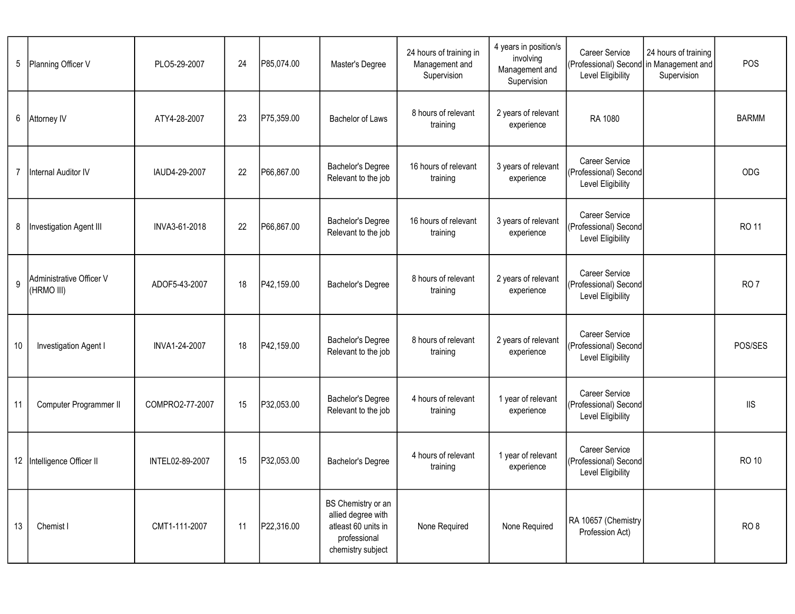| 5              | Planning Officer V                     | PLO5-29-2007    | 24 | P85,074.00 | Master's Degree                                                                                      | 24 hours of training in<br>Management and<br>Supervision | 4 years in position/s<br>involving<br>Management and<br>Supervision | <b>Career Service</b><br>(Professional) Second in Management and<br>Level Eligibility | 24 hours of training<br>Supervision | POS             |
|----------------|----------------------------------------|-----------------|----|------------|------------------------------------------------------------------------------------------------------|----------------------------------------------------------|---------------------------------------------------------------------|---------------------------------------------------------------------------------------|-------------------------------------|-----------------|
| 6              | Attorney IV                            | ATY4-28-2007    | 23 | P75,359.00 | Bachelor of Laws                                                                                     | 8 hours of relevant<br>training                          | 2 years of relevant<br>experience                                   | RA 1080                                                                               |                                     | <b>BARMM</b>    |
| $\overline{7}$ | Internal Auditor IV                    | IAUD4-29-2007   | 22 | P66,867.00 | Bachelor's Degree<br>Relevant to the job                                                             | 16 hours of relevant<br>training                         | 3 years of relevant<br>experience                                   | <b>Career Service</b><br>(Professional) Second<br>Level Eligibility                   |                                     | ODG             |
| 8              | Investigation Agent III                | INVA3-61-2018   | 22 | P66,867.00 | Bachelor's Degree<br>Relevant to the job                                                             | 16 hours of relevant<br>training                         | 3 years of relevant<br>experience                                   | <b>Career Service</b><br>(Professional) Second<br>Level Eligibility                   |                                     | <b>RO 11</b>    |
| 9              | Administrative Officer V<br>(HRMO III) | ADOF5-43-2007   | 18 | P42,159.00 | Bachelor's Degree                                                                                    | 8 hours of relevant<br>training                          | 2 years of relevant<br>experience                                   | <b>Career Service</b><br>(Professional) Second<br>Level Eligibility                   |                                     | RO <sub>7</sub> |
| 10             | Investigation Agent I                  | INVA1-24-2007   | 18 | P42,159.00 | Bachelor's Degree<br>Relevant to the job                                                             | 8 hours of relevant<br>training                          | 2 years of relevant<br>experience                                   | <b>Career Service</b><br>(Professional) Second<br>Level Eligibility                   |                                     | POS/SES         |
| 11             | Computer Programmer II                 | COMPRO2-77-2007 | 15 | P32,053.00 | Bachelor's Degree<br>Relevant to the job                                                             | 4 hours of relevant<br>training                          | 1 year of relevant<br>experience                                    | <b>Career Service</b><br>(Professional) Second<br>Level Eligibility                   |                                     | <b>IIS</b>      |
|                | 12 Intelligence Officer II             | INTEL02-89-2007 | 15 | P32,053.00 | Bachelor's Degree                                                                                    | 4 hours of relevant<br>training                          | 1 year of relevant<br>experience                                    | <b>Career Service</b><br>(Professional) Second<br>Level Eligibility                   |                                     | <b>RO 10</b>    |
| 13             | Chemist I                              | CMT1-111-2007   | 11 | P22,316.00 | BS Chemistry or an<br>allied degree with<br>atleast 60 units in<br>professional<br>chemistry subject | None Required                                            | None Required                                                       | RA 10657 (Chemistry<br>Profession Act)                                                |                                     | RO <sub>8</sub> |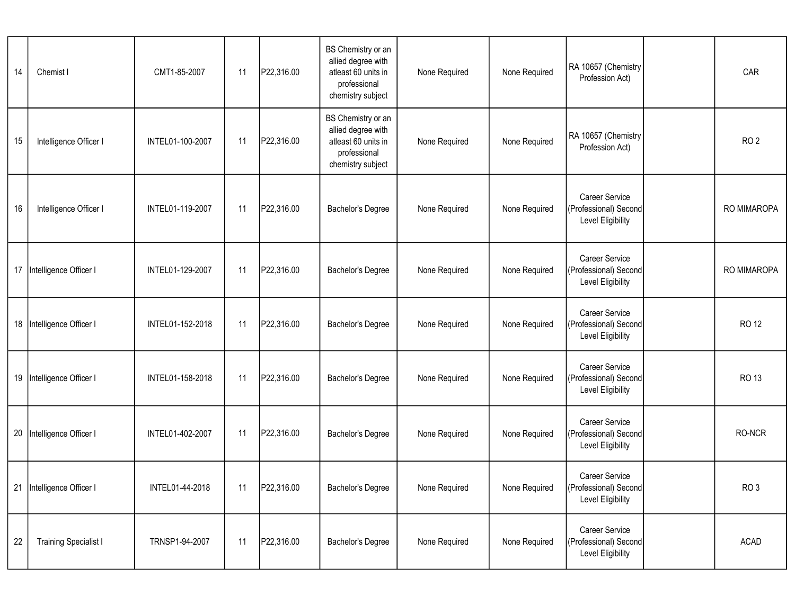| 14 | Chemist I                    | CMT1-85-2007     | 11 | P22,316.00 | BS Chemistry or an<br>allied degree with<br>atleast 60 units in<br>professional<br>chemistry subject | None Required | None Required | RA 10657 (Chemistry<br>Profession Act)                       | CAR             |
|----|------------------------------|------------------|----|------------|------------------------------------------------------------------------------------------------------|---------------|---------------|--------------------------------------------------------------|-----------------|
| 15 | Intelligence Officer I       | INTEL01-100-2007 | 11 | P22,316.00 | BS Chemistry or an<br>allied degree with<br>atleast 60 units in<br>professional<br>chemistry subject | None Required | None Required | RA 10657 (Chemistry<br>Profession Act)                       | RO <sub>2</sub> |
| 16 | Intelligence Officer I       | INTEL01-119-2007 | 11 | P22,316.00 | <b>Bachelor's Degree</b>                                                                             | None Required | None Required | Career Service<br>(Professional) Second<br>Level Eligibility | RO MIMAROPA     |
| 17 | Intelligence Officer I       | INTEL01-129-2007 | 11 | P22,316.00 | Bachelor's Degree                                                                                    | None Required | None Required | Career Service<br>(Professional) Second<br>Level Eligibility | RO MIMAROPA     |
| 18 | Intelligence Officer I       | INTEL01-152-2018 | 11 | P22,316.00 | <b>Bachelor's Degree</b>                                                                             | None Required | None Required | Career Service<br>(Professional) Second<br>Level Eligibility | <b>RO 12</b>    |
| 19 | Intelligence Officer I       | INTEL01-158-2018 | 11 | P22,316.00 | Bachelor's Degree                                                                                    | None Required | None Required | Career Service<br>(Professional) Second<br>Level Eligibility | RO 13           |
| 20 | Intelligence Officer I       | INTEL01-402-2007 | 11 | P22,316.00 | <b>Bachelor's Degree</b>                                                                             | None Required | None Required | Career Service<br>(Professional) Second<br>Level Eligibility | RO-NCR          |
| 21 | Intelligence Officer I       | INTEL01-44-2018  | 11 | P22,316.00 | Bachelor's Degree                                                                                    | None Required | None Required | Career Service<br>(Professional) Second<br>Level Eligibility | RO <sub>3</sub> |
| 22 | <b>Training Specialist I</b> | TRNSP1-94-2007   | 11 | P22,316.00 | Bachelor's Degree                                                                                    | None Required | None Required | Career Service<br>(Professional) Second<br>Level Eligibility | ACAD            |